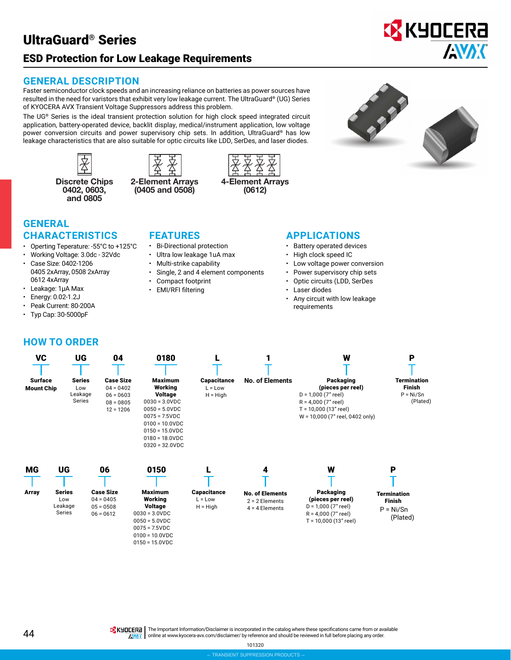# UltraGuard® Series

# ESD Protection for Low Leakage Requirements

## **GENERAL DESCRIPTION**

Faster semiconductor clock speeds and an increasing reliance on batteries as power sources have resulted in the need for varistors that exhibit very low leakage current. The UltraGuard**®** (UG) Series of KYOCERA AVX Transient Voltage Suppressors address this problem.

The UG**®** Series is the ideal transient protection solution for high clock speed integrated circuit application, battery-operated device, backlit display, medical/instrument application, low voltage power conversion circuits and power supervisory chip sets. In addition, UltraGuard**®** has low leakage characteristics that are also suitable for optic circuits like LDD, SerDes, and laser diodes.





Discrete Chips 2-Element Arrays 4-Element Arrays<br>0402, 0603, (0405 and 0508) (0612) (0405 and 0508)





**EX** KYOCERA

**AVAK** 

## **GENERAL CHARACTERISTICS**

- Operting Teperature: -55°C to +125°C
- Working Voltage: 3.0dc 32Vdc • Case Size: 0402-1206
- 0405 2xArray, 0508 2xArray 0612 4xArray
- Leakage: 1μA Max
- Energy: 0.02-1.2J
- Peak Current: 80-200A
- Typ Cap: 30-5000pF

### **FEATURES**

- Bi-Directional protection
- Ultra low leakage 1uA max
- Multi-strike capability
- Single, 2 and 4 element components
- Compact footprint
- EMI/RFI filtering

0150 = 15.0VDC

### **APPLICATIONS**

- Battery operated devices
- High clock speed IC
- Low voltage power conversion
- Power supervisory chip sets
- Optic circuits (LDD, SerDes
- Laser diodes
- Any circuit with low leakage requirements

### **HOW TO ORDER**

| <b>VC</b>                           | UG                                              | 04                                                                           | 0180                                                                                                                                                                                        |                                               |                                                                     | W                                                                                                                                            | P                                                                   |
|-------------------------------------|-------------------------------------------------|------------------------------------------------------------------------------|---------------------------------------------------------------------------------------------------------------------------------------------------------------------------------------------|-----------------------------------------------|---------------------------------------------------------------------|----------------------------------------------------------------------------------------------------------------------------------------------|---------------------------------------------------------------------|
| <b>Surface</b><br><b>Mount Chip</b> | <b>Series</b><br>Low<br>Leakage<br>Series       | <b>Case Size</b><br>$04 = 0402$<br>$06 = 0603$<br>$08 = 0805$<br>$12 = 1206$ | <b>Maximum</b><br>Working<br><b>Voltage</b><br>$0030 = 3.0 VDC$<br>$0050 = 5.0 VDC$<br>$0075 = 7.5$ VDC<br>$0100 = 10.0 VDC$<br>$0150 = 15.0 VDC$<br>$0180 = 18.0$ VDC<br>$0320 = 32.0 VDC$ | <b>Capacitance</b><br>$L = Low$<br>$H = High$ | <b>No. of Elements</b>                                              | Packaging<br>(pieces per reel)<br>$D = 1,000 (7"$ reel)<br>$R = 4,000(7"$ reel)<br>$T = 10,000(13"$ reel)<br>W = 10,000 (7" reel, 0402 only) | <b>Termination</b><br><b>Finish</b><br>$P = Ni/Sn$<br>(Plated)      |
| <b>MG</b><br>Array                  | UG<br><b>Series</b><br>Low<br>Leakage<br>Series | 06<br><b>Case Size</b><br>$04 = 0405$<br>$05 = 0508$<br>$06 = 0612$          | 0150<br><b>Maximum</b><br>Working<br><b>Voltage</b><br>$0030 = 3.0 VDC$<br>$0050 = 5.0 VDC$<br>$0075 = 7.5VDC$<br>$0100 = 10.0 VDC$                                                         | <b>Capacitance</b><br>$L = Low$<br>$H = High$ | 4<br><b>No. of Elements</b><br>$2 = 2$ Elements<br>$4 = 4$ Elements | W<br>Packaging<br>(pieces per reel)<br>$D = 1,000 (7"$ reel)<br>$R = 4,000 (7"$ reel)<br>$T = 10,000(13"$ reel)                              | P<br><b>Termination</b><br><b>Finish</b><br>$P = Ni/Sn$<br>(Plated) |

**IS KHOLERA** The Important Information/Disclaimer is incorporated in the catalog where these specifications came from or available AVAX online at [www.kyocera-avx.com/disclaimer/](http://www.kyocera-avx.com/disclaimer/) by reference and should be reviewed in full before placing any order.

101320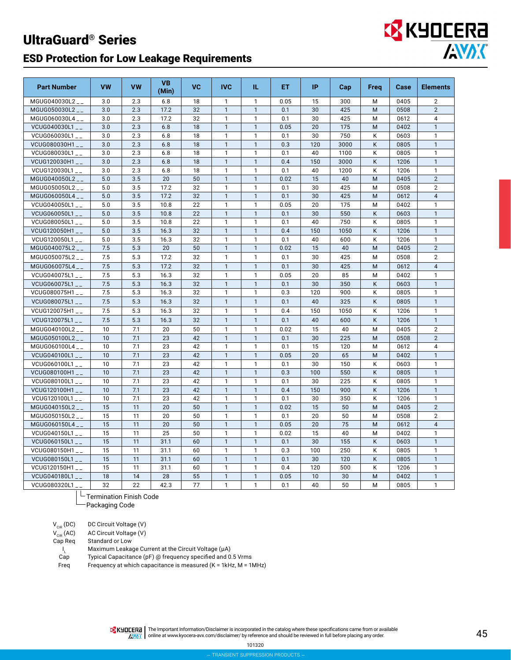# UltraGuard® Series

## ESD Protection for Low Leakage Requirements

| <b>Part Number</b> | <b>VW</b> | VW  | <b>VB</b><br>(Min) | <b>VC</b> | <b>IVC</b>   | IL.          | ET.  | IP  | Cap  | Freq | Case | <b>Elements</b> |
|--------------------|-----------|-----|--------------------|-----------|--------------|--------------|------|-----|------|------|------|-----------------|
| MGUG040030L2__     | 3.0       | 2.3 | 6.8                | 18        | $\mathbf{1}$ | $\mathbf{1}$ | 0.05 | 15  | 300  | м    | 0405 | $\overline{2}$  |
| MGUG050030L2__     | 3.0       | 2.3 | 17.2               | 32        | $\mathbf{1}$ | $\mathbf{1}$ | 0.1  | 30  | 425  | M    | 0508 | $\overline{2}$  |
| MGUG060030L4__     | 3.0       | 2.3 | 17.2               | 32        | $\mathbf{1}$ | $\mathbf{1}$ | 0.1  | 30  | 425  | M    | 0612 | 4               |
| VCUG040030L1__     | 3.0       | 2.3 | 6.8                | 18        | $\mathbf{1}$ | $\mathbf{1}$ | 0.05 | 20  | 175  | M    | 0402 | $\mathbf{1}$    |
| VCUG060030L1__     | 3.0       | 2.3 | 6.8                | 18        | $\mathbf{1}$ | $\mathbf{1}$ | 0.1  | 30  | 750  | K    | 0603 | $\mathbf{1}$    |
| VCUG080030H1__     | 3.0       | 2.3 | 6.8                | 18        | $\mathbf{1}$ | $\mathbf{1}$ | 0.3  | 120 | 3000 | K    | 0805 | $\mathbf{1}$    |
| VCUG080030L1__     | 3.0       | 2.3 | 6.8                | 18        | $\mathbf{1}$ | $\mathbf{1}$ | 0.1  | 40  | 1100 | K    | 0805 | $\mathbf{1}$    |
| VCUG120030H1__     | 3.0       | 2.3 | 6.8                | 18        | $\mathbf{1}$ | $\mathbf{1}$ | 0.4  | 150 | 3000 | K    | 1206 | $\mathbf{1}$    |
| VCUG120030L1__     | 3.0       | 2.3 | 6.8                | 18        | $\mathbf{1}$ | $\mathbf{1}$ | 0.1  | 40  | 1200 | K    | 1206 | $\mathbf{1}$    |
| MGUG040050L2__     | 5.0       | 3.5 | 20                 | 50        | $\mathbf{1}$ | $\mathbf{1}$ | 0.02 | 15  | 40   | M    | 0405 | $\overline{2}$  |
| MGUG050050L2       | 5.0       | 3.5 | 17.2               | 32        | $\mathbf{1}$ | $\mathbf{1}$ | 0.1  | 30  | 425  | M    | 0508 | $\overline{2}$  |
| MGUG060050L4__     | 5.0       | 3.5 | 17.2               | 32        | $\mathbf{1}$ | $\mathbf{1}$ | 0.1  | 30  | 425  | M    | 0612 | $\overline{4}$  |
| VCUG040050L1__     | 5.0       | 3.5 | 10.8               | 22        | $\mathbf{1}$ | $\mathbf{1}$ | 0.05 | 20  | 175  | М    | 0402 | $\mathbf{1}$    |
| VCUG060050L1__     | 5.0       | 3.5 | 10.8               | 22        | $\mathbf{1}$ | $\mathbf{1}$ | 0.1  | 30  | 550  | K    | 0603 | $\mathbf{1}$    |
| VCUG080050L1__     | 5.0       | 3.5 | 10.8               | 22        | $\mathbf{1}$ | $\mathbf{1}$ | 0.1  | 40  | 750  | Κ    | 0805 | $\mathbf{1}$    |
| VCUG120050H1__     | 5.0       | 3.5 | 16.3               | 32        | $\mathbf{1}$ | $\mathbf{1}$ | 0.4  | 150 | 1050 | K    | 1206 | $\mathbf{1}$    |
| VCUG120050L1__     | 5.0       | 3.5 | 16.3               | 32        | $\mathbf{1}$ | 1            | 0.1  | 40  | 600  | Κ    | 1206 | $\mathbf{1}$    |
| MGUG040075L2       | 7.5       | 5.3 | 20                 | 50        | $\mathbf{1}$ | $\mathbf{1}$ | 0.02 | 15  | 40   | M    | 0405 | $\overline{2}$  |
| MGUG050075L2__     | 7.5       | 5.3 | 17.2               | 32        | $\mathbf{1}$ | $\mathbf{1}$ | 0.1  | 30  | 425  | M    | 0508 | $\overline{2}$  |
| MGUG060075L4__     | 7.5       | 5.3 | 17.2               | 32        | $\mathbf{1}$ | $\mathbf{1}$ | 0.1  | 30  | 425  | M    | 0612 | $\overline{4}$  |
| VCUG040075L1__     | 7.5       | 5.3 | 16.3               | 32        | $\mathbf{1}$ | $\mathbf{1}$ | 0.05 | 20  | 85   | M    | 0402 | $\mathbf{1}$    |
| VCUG060075L1__     | 7.5       | 5.3 | 16.3               | 32        | $\mathbf{1}$ | $\mathbf{1}$ | 0.1  | 30  | 350  | Κ    | 0603 | $\mathbf{1}$    |
| VCUG080075H1__     | 7.5       | 5.3 | 16.3               | 32        | $\mathbf{1}$ | $\mathbf{1}$ | 0.3  | 120 | 900  | Κ    | 0805 | $\mathbf{1}$    |
| VCUG080075L1       | 7.5       | 5.3 | 16.3               | 32        | $\mathbf{1}$ | $\mathbf{1}$ | 0.1  | 40  | 325  | K    | 0805 | $\mathbf{1}$    |
| VCUG120075H1__     | 7.5       | 5.3 | 16.3               | 32        | $\mathbf{1}$ | $\mathbf{1}$ | 0.4  | 150 | 1050 | Κ    | 1206 | $\mathbf{1}$    |
| VCUG120075L1__     | 7.5       | 5.3 | 16.3               | 32        | $\mathbf{1}$ | $\mathbf{1}$ | 0.1  | 40  | 600  | K    | 1206 | $\mathbf{1}$    |
| MGUG040100L2       | 10        | 7.1 | 20                 | 50        | $\mathbf{1}$ | $\mathbf{1}$ | 0.02 | 15  | 40   | M    | 0405 | $\overline{2}$  |
| MGUG050100L2__     | 10        | 7.1 | 23                 | 42        | $\mathbf{1}$ | $\mathbf{1}$ | 0.1  | 30  | 225  | M    | 0508 | $\overline{2}$  |
| MGUG060100L4__     | 10        | 7.1 | 23                 | 42        | $\mathbf{1}$ | $\mathbf{1}$ | 0.1  | 15  | 120  | M    | 0612 | $\overline{4}$  |
| VCUG040100L1__     | 10        | 7.1 | 23                 | 42        | $\mathbf{1}$ | $\mathbf{1}$ | 0.05 | 20  | 65   | M    | 0402 | $\mathbf{1}$    |
| VCUG060100L1__     | 10        | 7.1 | 23                 | 42        | $\mathbf{1}$ | $\mathbf{1}$ | 0.1  | 30  | 150  | Κ    | 0603 | 1               |
| VCUG080100H1__     | 10        | 7.1 | 23                 | 42        | $\mathbf{1}$ | $\mathbf{1}$ | 0.3  | 100 | 550  | K    | 0805 | $\mathbf{1}$    |
| VCUG080100L1__     | 10        | 7.1 | 23                 | 42        | $\mathbf{1}$ | $\mathbf{1}$ | 0.1  | 30  | 225  | Κ    | 0805 | $\mathbf{1}$    |
| VCUG120100H1__     | 10        | 7.1 | 23                 | 42        | $\mathbf{1}$ | $\mathbf{1}$ | 0.4  | 150 | 900  | K    | 1206 | $\mathbf{1}$    |
| VCUG120100L1__     | 10        | 7.1 | 23                 | 42        | $\mathbf{1}$ | $\mathbf{1}$ | 0.1  | 30  | 350  | K    | 1206 | $\mathbf{1}$    |
| MGUG040150L2__     | 15        | 11  | 20                 | 50        | $\mathbf{1}$ | $\mathbf{1}$ | 0.02 | 15  | 50   | M    | 0405 | $\overline{2}$  |
| MGUG050150L2       | 15        | 11  | 20                 | 50        | $\mathbf{1}$ | $\mathbf{1}$ | 0.1  | 20  | 50   | M    | 0508 | $\overline{2}$  |
| MGUG060150L4__     | 15        | 11  | 20                 | 50        | $\mathbf{1}$ | $\mathbf{1}$ | 0.05 | 20  | 75   | M    | 0612 | $\overline{4}$  |
| VCUG040150L1__     | 15        | 11  | 25                 | 50        | $\mathbf{1}$ | $\mathbf{1}$ | 0.02 | 15  | 40   | M    | 0402 | $\mathbf{1}$    |
| VCUG060150L1__     | 15        | 11  | 31.1               | 60        | $\mathbf{1}$ | $\mathbf{1}$ | 0.1  | 30  | 155  | K    | 0603 | $\mathbf{1}$    |
| VCUG080150H1__     | 15        | 11  | 31.1               | 60        | $\mathbf{1}$ | $\mathbf{1}$ | 0.3  | 100 | 250  | K    | 0805 | $\mathbf{1}$    |
| VCUG080150L1__     | 15        | 11  | 31.1               | 60        | $\mathbf{1}$ | $\mathbf{1}$ | 0.1  | 30  | 120  | Κ    | 0805 | $\mathbf{1}$    |
| VCUG120150H1__     | 15        | 11  | 31.1               | 60        | $\mathbf{1}$ | $\mathbf{1}$ | 0.4  | 120 | 500  | Κ    | 1206 | $\mathbf{1}$    |
| VCUG040180L1__     | 18        | 14  | 28                 | 55        | $\mathbf{1}$ | 1            | 0.05 | 10  | 30   | M    | 0402 | $\mathbf{1}$    |
| VCUG080320L1__     | 32        | 22  | 42.3               | 77        | $\mathbf{1}$ | $\mathbf{1}$ | 0.1  | 40  | 50   | M    | 0805 | $\mathbf{1}$    |

 $L$ Termination Finish Code

Packaging Code

| $V_{\text{cib}}(DC)$ | DC Circuit Voltage (V) |
|----------------------|------------------------|
| $V_{\text{cib}}(AC)$ | AC Circuit Voltage (V) |
| Cap Reg              | Standard or Low        |

<sup>L</sup> Maximum Leakage Current at the Circuit Voltage (μA)

 $\frac{I_L}{Cap}$ Typical Capacitance (pF) @ frequency specified and 0.5 Vrms

Freq Frequency at which capacitance is measured (K = 1kHz, M = 1MHz)

The Important Information/Disclaimer is incorporated in the catalog where these specifications came from or available<br>online at [www.kyocera-avx.com/disclaimer/](http://www.kyocera-avx.com/disclaimer/) by reference and should be reviewed in full before placing any

101320

**EX KYOCERA** 

**ANDK**